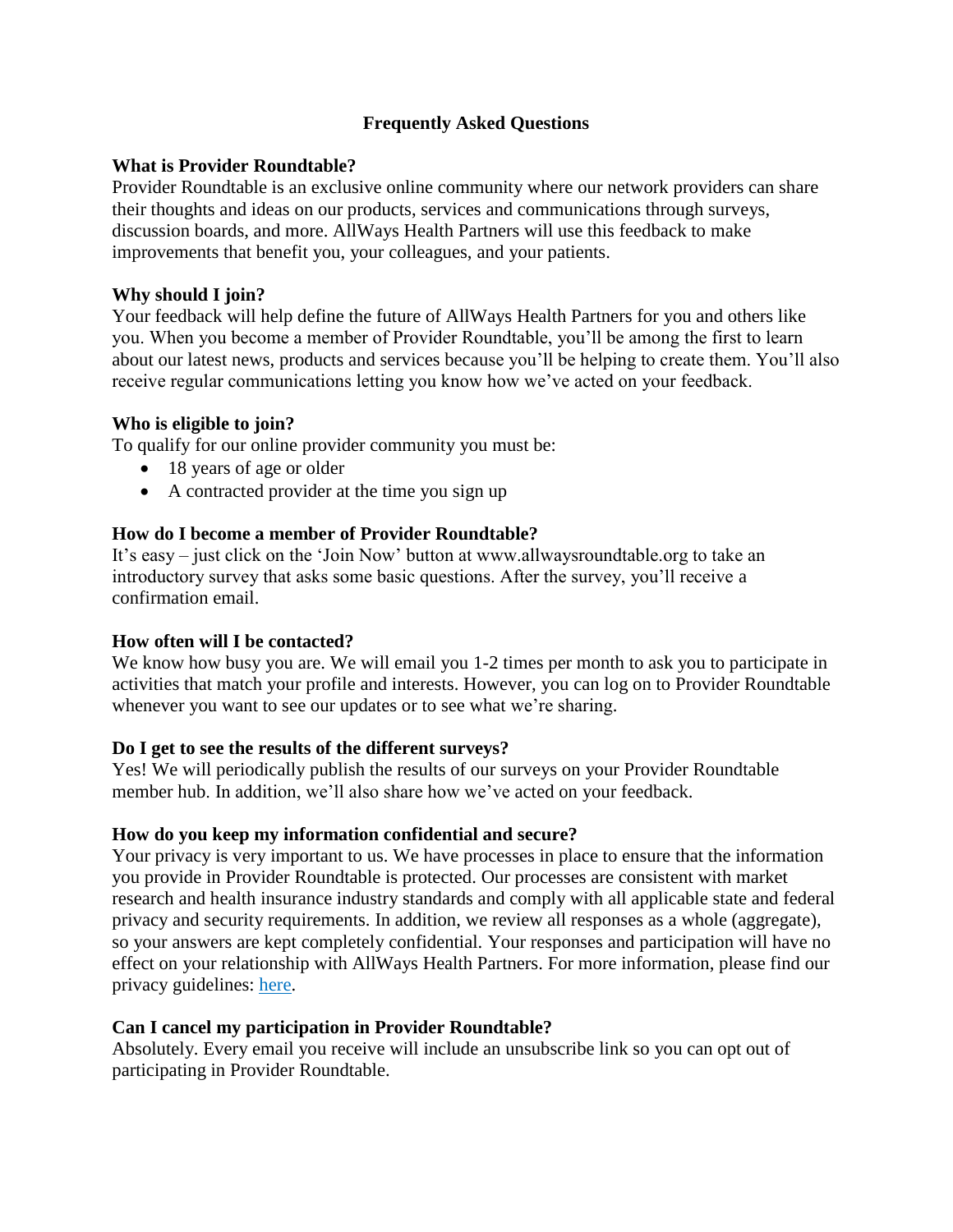# **Frequently Asked Questions**

## **What is Provider Roundtable?**

Provider Roundtable is an exclusive online community where our network providers can share their thoughts and ideas on our products, services and communications through surveys, discussion boards, and more. AllWays Health Partners will use this feedback to make improvements that benefit you, your colleagues, and your patients.

## **Why should I join?**

Your feedback will help define the future of AllWays Health Partners for you and others like you. When you become a member of Provider Roundtable, you'll be among the first to learn about our latest news, products and services because you'll be helping to create them. You'll also receive regular communications letting you know how we've acted on your feedback.

## **Who is eligible to join?**

To qualify for our online provider community you must be:

- 18 years of age or older
- A contracted provider at the time you sign up

## **How do I become a member of Provider Roundtable?**

It's easy – just click on the 'Join Now' button at www.allwaysroundtable.org to take an introductory survey that asks some basic questions. After the survey, you'll receive a confirmation email.

## **How often will I be contacted?**

We know how busy you are. We will email you 1-2 times per month to ask you to participate in activities that match your profile and interests. However, you can log on to Provider Roundtable whenever you want to see our updates or to see what we're sharing.

## **Do I get to see the results of the different surveys?**

Yes! We will periodically publish the results of our surveys on your Provider Roundtable member hub. In addition, we'll also share how we've acted on your feedback.

# **How do you keep my information confidential and secure?**

Your privacy is very important to us. We have processes in place to ensure that the information you provide in Provider Roundtable is protected. Our processes are consistent with market research and health insurance industry standards and comply with all applicable state and federal privacy and security requirements. In addition, we review all responses as a whole (aggregate), so your answers are kept completely confidential. Your responses and participation will have no effect on your relationship with AllWays Health Partners. For more information, please find our privacy guidelines: [here.](https://resources.allwayshealthpartners.org/members/privacy-practices.pdf)

# **Can I cancel my participation in Provider Roundtable?**

Absolutely. Every email you receive will include an unsubscribe link so you can opt out of participating in Provider Roundtable.